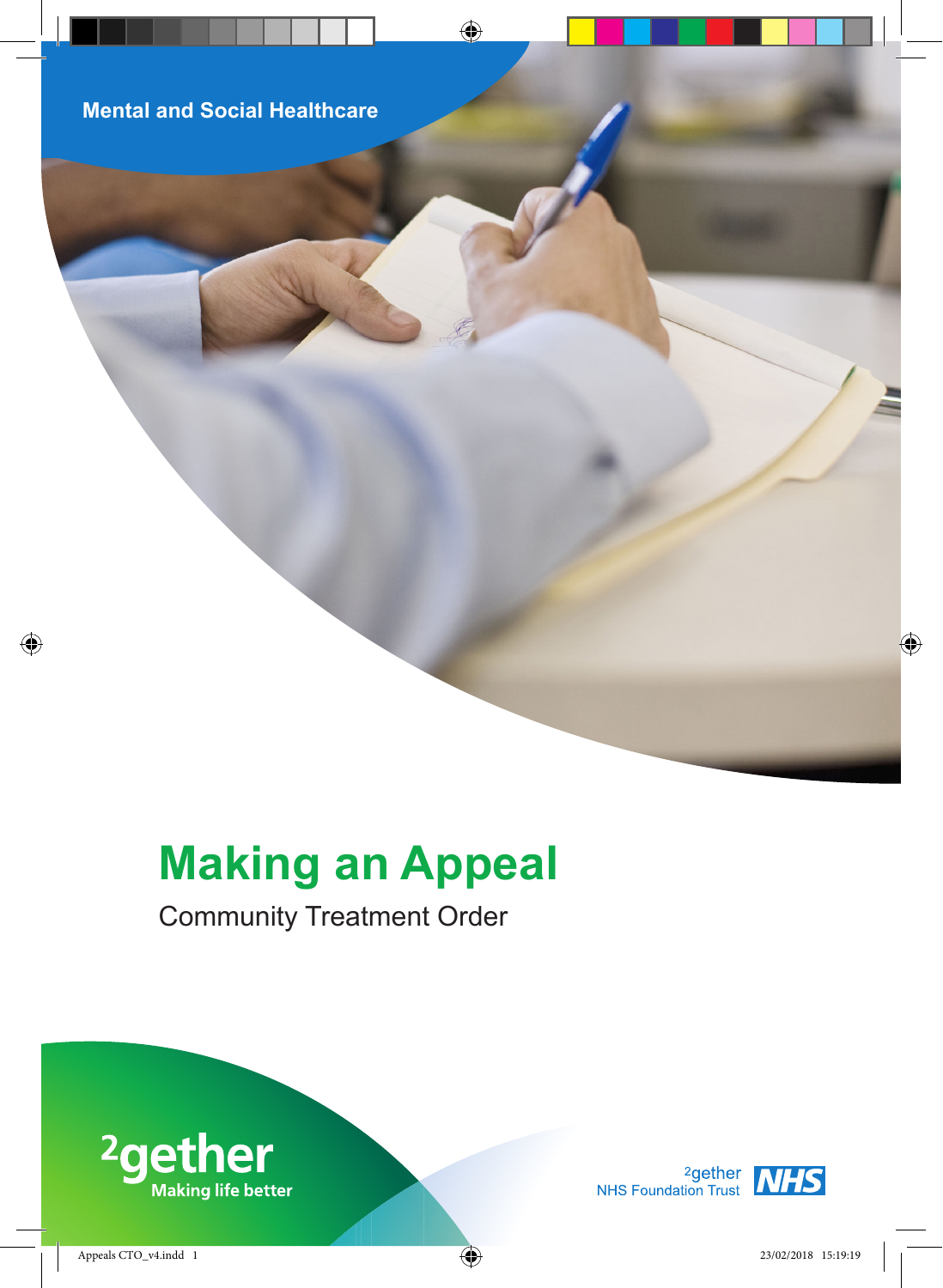# **Making an Appeal**

# Community Treatment Order



<sup>2</sup>gether<br>NHS Foundation Trust<br>NHS

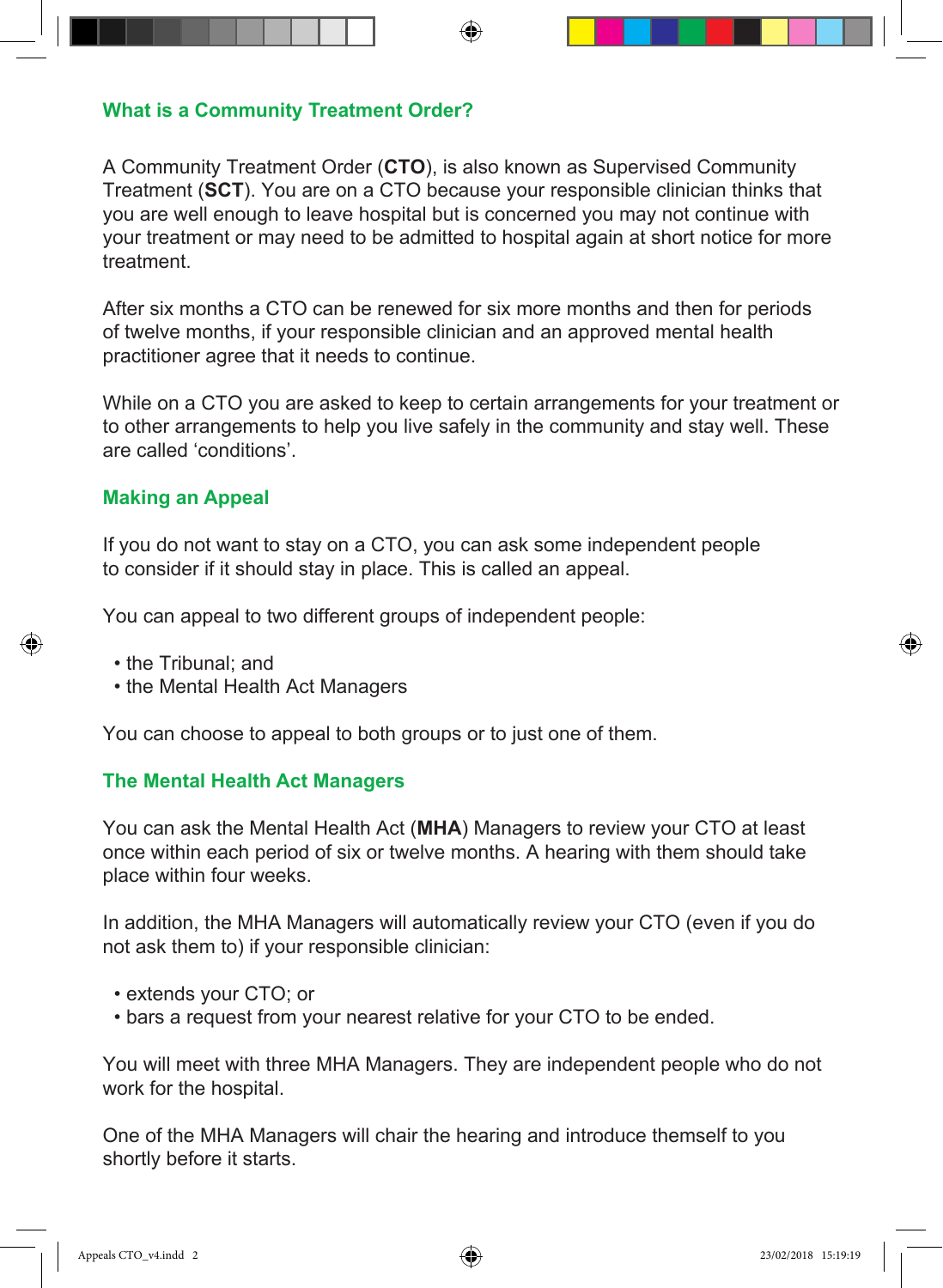#### **What is a Community Treatment Order?**

A Community Treatment Order (**CTO**), is also known as Supervised Community Treatment (**SCT**). You are on a CTO because your responsible clinician thinks that you are well enough to leave hospital but is concerned you may not continue with your treatment or may need to be admitted to hospital again at short notice for more treatment.

After six months a CTO can be renewed for six more months and then for periods of twelve months, if your responsible clinician and an approved mental health practitioner agree that it needs to continue.

While on a CTO you are asked to keep to certain arrangements for your treatment or to other arrangements to help you live safely in the community and stay well. These are called 'conditions'.

#### **Making an Appeal**

If you do not want to stay on a CTO, you can ask some independent people to consider if it should stay in place. This is called an appeal.

You can appeal to two different groups of independent people:

- the Tribunal; and
- the Mental Health Act Managers

You can choose to appeal to both groups or to just one of them.

#### **The Mental Health Act Managers**

You can ask the Mental Health Act (**MHA**) Managers to review your CTO at least once within each period of six or twelve months. A hearing with them should take place within four weeks.

In addition, the MHA Managers will automatically review your CTO (even if you do not ask them to) if your responsible clinician:

- extends your CTO; or
- bars a request from your nearest relative for your CTO to be ended.

You will meet with three MHA Managers. They are independent people who do not work for the hospital.

One of the MHA Managers will chair the hearing and introduce themself to you shortly before it starts.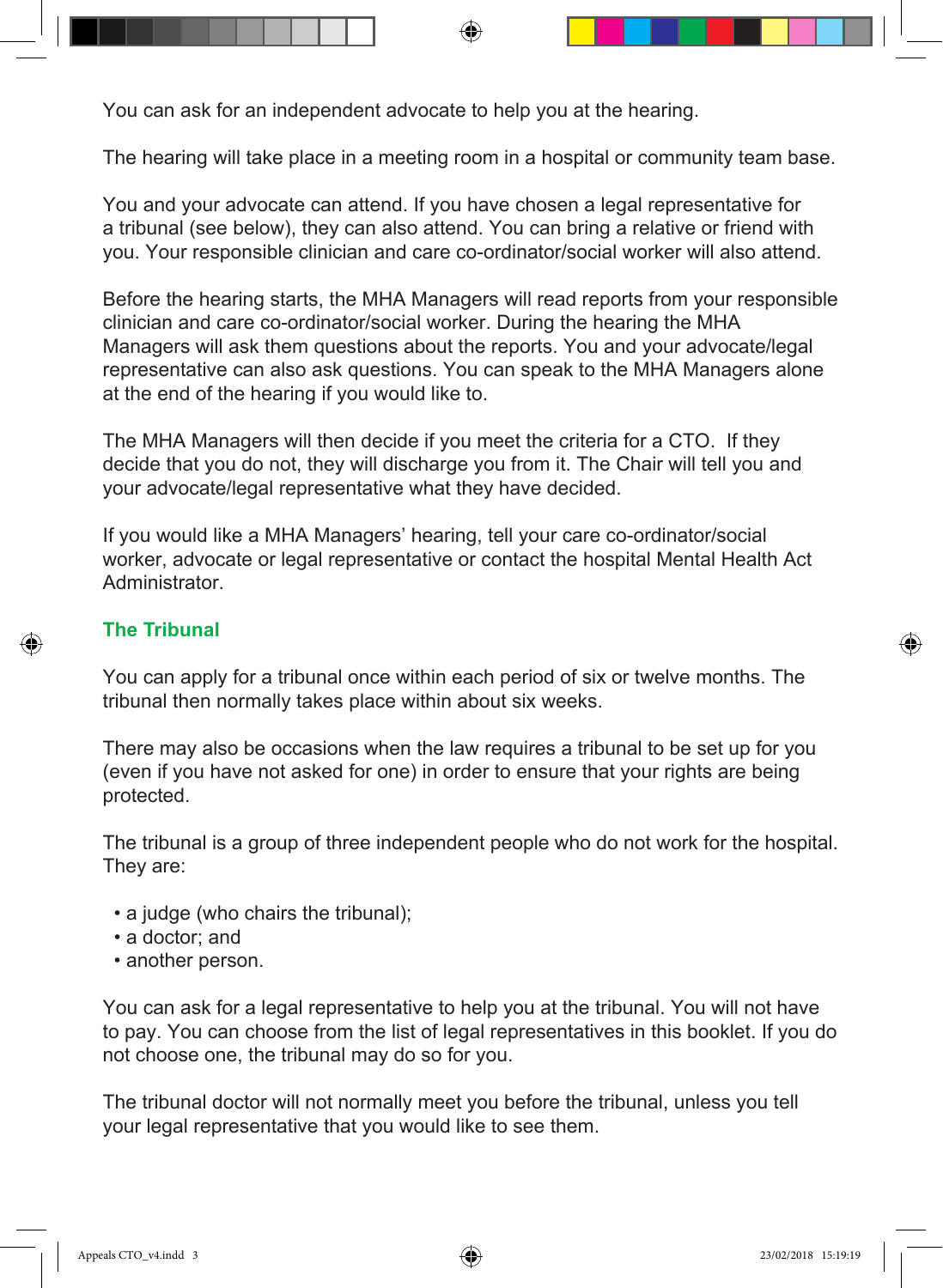You can ask for an independent advocate to help you at the hearing.

The hearing will take place in a meeting room in a hospital or community team base.

You and your advocate can attend. If you have chosen a legal representative for a tribunal (see below), they can also attend. You can bring a relative or friend with you. Your responsible clinician and care co-ordinator/social worker will also attend.

Before the hearing starts, the MHA Managers will read reports from your responsible clinician and care co-ordinator/social worker. During the hearing the MHA Managers will ask them questions about the reports. You and your advocate/legal representative can also ask questions. You can speak to the MHA Managers alone at the end of the hearing if you would like to.

The MHA Managers will then decide if you meet the criteria for a CTO. If they decide that you do not, they will discharge you from it. The Chair will tell you and your advocate/legal representative what they have decided.

If you would like a MHA Managers' hearing, tell your care co-ordinator/social worker, advocate or legal representative or contact the hospital Mental Health Act **Administrator** 

## **The Tribunal**

You can apply for a tribunal once within each period of six or twelve months. The tribunal then normally takes place within about six weeks.

There may also be occasions when the law requires a tribunal to be set up for you (even if you have not asked for one) in order to ensure that your rights are being protected.

The tribunal is a group of three independent people who do not work for the hospital. They are:

- a judge (who chairs the tribunal);
- a doctor; and
- another person.

You can ask for a legal representative to help you at the tribunal. You will not have to pay. You can choose from the list of legal representatives in this booklet. If you do not choose one, the tribunal may do so for you.

The tribunal doctor will not normally meet you before the tribunal, unless you tell your legal representative that you would like to see them.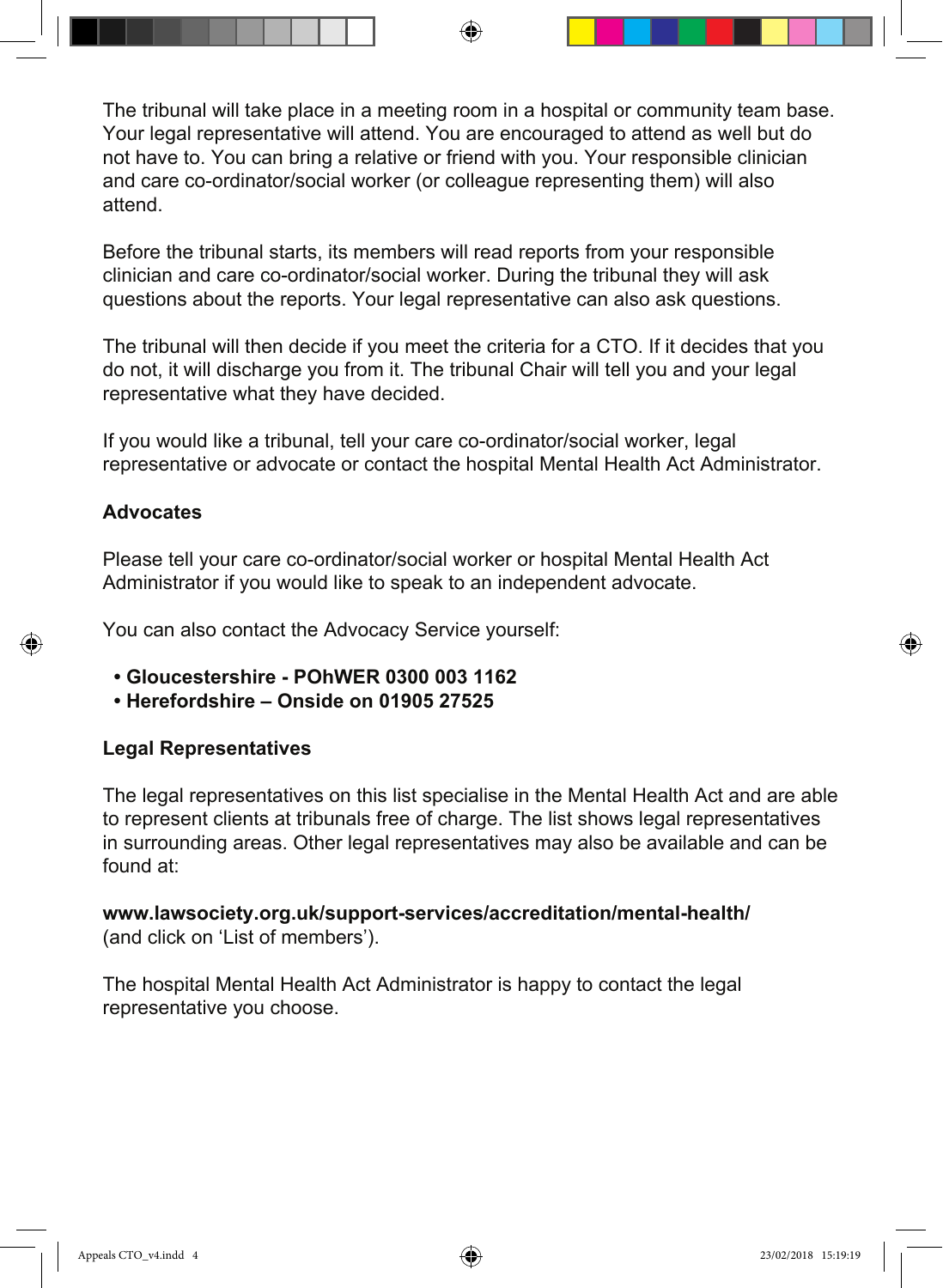The tribunal will take place in a meeting room in a hospital or community team base. Your legal representative will attend. You are encouraged to attend as well but do not have to. You can bring a relative or friend with you. Your responsible clinician and care co-ordinator/social worker (or colleague representing them) will also attend.

Before the tribunal starts, its members will read reports from your responsible clinician and care co-ordinator/social worker. During the tribunal they will ask questions about the reports. Your legal representative can also ask questions.

The tribunal will then decide if you meet the criteria for a CTO. If it decides that you do not, it will discharge you from it. The tribunal Chair will tell you and your legal representative what they have decided.

If you would like a tribunal, tell your care co-ordinator/social worker, legal representative or advocate or contact the hospital Mental Health Act Administrator.

### **Advocates**

Please tell your care co-ordinator/social worker or hospital Mental Health Act Administrator if you would like to speak to an independent advocate.

You can also contact the Advocacy Service yourself:

- **Gloucestershire POhWER 0300 003 1162**
- **Herefordshire Onside on 01905 27525**

#### **Legal Representatives**

The legal representatives on this list specialise in the Mental Health Act and are able to represent clients at tribunals free of charge. The list shows legal representatives in surrounding areas. Other legal representatives may also be available and can be found at:

**www.lawsociety.org.uk/support-services/accreditation/mental-health/** (and click on 'List of members').

The hospital Mental Health Act Administrator is happy to contact the legal representative you choose.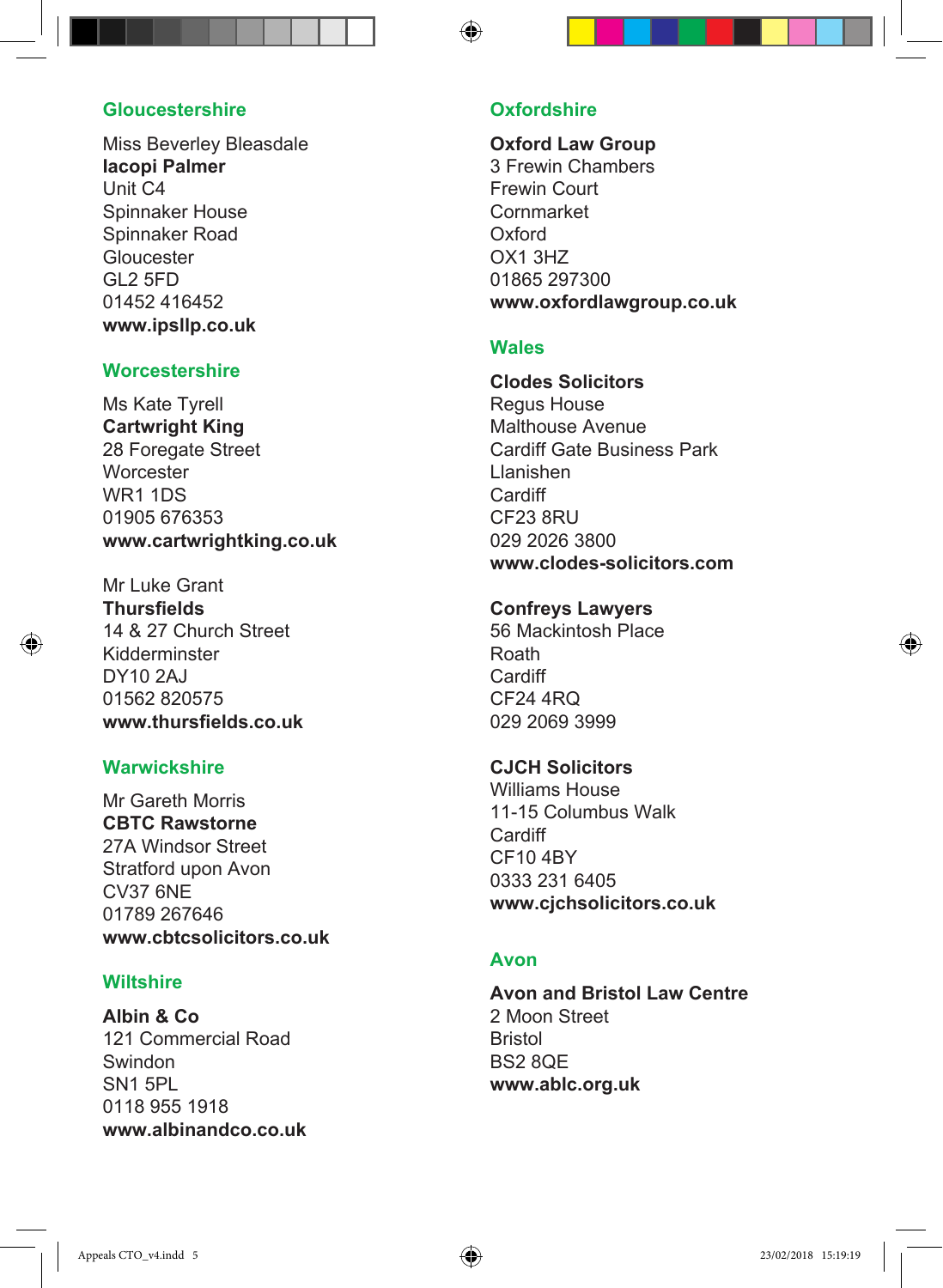#### **Gloucestershire**

Miss Beverley Bleasdale **Iacopi Palmer** Unit C4 Spinnaker House Spinnaker Road Gloucester GL2 5FD 01452 416452 **www.ipsllp.co.uk**

#### **Worcestershire**

Ms Kate Tyrell **Cartwright King** 28 Foregate Street **Worcester** WR1 1DS 01905 676353 **www.cartwrightking.co.uk**

Mr Luke Grant **Thursfields** 14 & 27 Church Street Kidderminster DY10 2AJ 01562 820575 **www.thursfields.co.uk**

#### **Warwickshire**

Mr Gareth Morris **CBTC Rawstorne** 27A Windsor Street Stratford upon Avon CV37 6NE 01789 267646 **www.cbtcsolicitors.co.uk**

#### **Wiltshire**

**Albin & Co** 121 Commercial Road Swindon SN1 5PL 0118 955 1918 **www.albinandco.co.uk**

#### **Oxfordshire**

**Oxford Law Group** 3 Frewin Chambers Frewin Court Cornmarket Oxford OX1 3HZ 01865 297300 **www.oxfordlawgroup.co.uk**

#### **Wales**

**Clodes Solicitors** Regus House Malthouse Avenue Cardiff Gate Business Park Llanishen **Cardiff** CF23 8RU 029 2026 3800 **www.clodes-solicitors.com**

#### **Confreys Lawyers**

56 Mackintosh Place Roath **Cardiff** CF24 4RQ 029 2069 3999

#### **CJCH Solicitors**

Williams House 11-15 Columbus Walk Cardiff CF10 4BY 0333 231 6405 **www.cjchsolicitors.co.uk**

#### **Avon**

**Avon and Bristol Law Centre** 2 Moon Street Bristol BS2 8QE **www.ablc.org.uk**